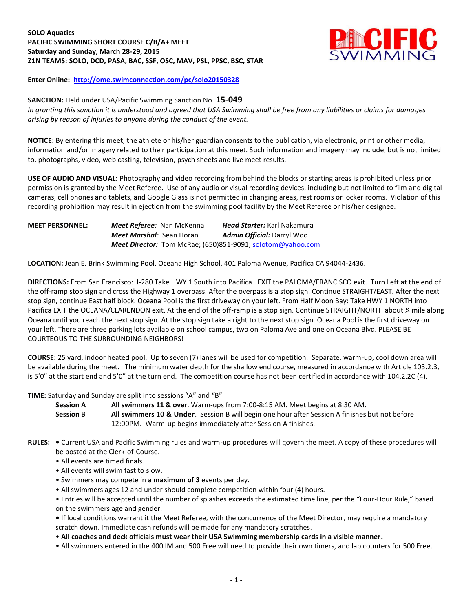# **SOLO Aquatics PACIFIC SWIMMING SHORT COURSE C/B/A+ MEET Saturday and Sunday, March 28-29, 2015 Z1N TEAMS: SOLO, DCD, PASA, BAC, SSF, OSC, MAV, PSL, PPSC, BSC, STAR**



**Enter Online: <http://ome.swimconnection.com/pc/solo20150328>**

### **SANCTION:** Held under USA/Pacific Swimming Sanction No. **15-049**

*In granting this sanction it is understood and agreed that USA Swimming shall be free from any liabilities or claims for damages arising by reason of injuries to anyone during the conduct of the event.*

**NOTICE:** By entering this meet, the athlete or his/her guardian consents to the publication, via electronic, print or other media, information and/or imagery related to their participation at this meet. Such information and imagery may include, but is not limited to, photographs, video, web casting, television, psych sheets and live meet results.

**USE OF AUDIO AND VISUAL:** Photography and video recording from behind the blocks or starting areas is prohibited unless prior permission is granted by the Meet Referee. Use of any audio or visual recording devices, including but not limited to film and digital cameras, cell phones and tablets, and Google Glass is not permitted in changing areas, rest rooms or locker rooms. Violation of this recording prohibition may result in ejection from the swimming pool facility by the Meet Referee or his/her designee.

**MEET PERSONNEL:** *Meet Referee:* Nan McKenna *Head Starter:* Karl Nakamura *Meet Marshal:* Sean Horan *Admin Official:* Darryl Woo *Meet Director:* Tom McRae; (650)851-9091; [solotom@yahoo.com](mailto:solotom@yahoo.com)

**LOCATION:** Jean E. Brink Swimming Pool, Oceana High School, 401 Paloma Avenue, Pacifica CA 94044-2436.

**DIRECTIONS:** From San Francisco: I-280 Take HWY 1 South into Pacifica. EXIT the PALOMA/FRANCISCO exit. Turn Left at the end of the off-ramp stop sign and cross the Highway 1 overpass. After the overpass is a stop sign. Continue STRAIGHT/EAST. After the next stop sign, continue East half block. Oceana Pool is the first driveway on your left. From Half Moon Bay: Take HWY 1 NORTH into Pacifica EXIT the OCEANA/CLARENDON exit. At the end of the off-ramp is a stop sign. Continue STRAIGHT/NORTH about ¼ mile along Oceana until you reach the next stop sign. At the stop sign take a right to the next stop sign. Oceana Pool is the first driveway on your left. There are three parking lots available on school campus, two on Paloma Ave and one on Oceana Blvd. PLEASE BE COURTEOUS TO THE SURROUNDING NEIGHBORS!

**COURSE:** 25 yard, indoor heated pool. Up to seven (7) lanes will be used for competition. Separate, warm-up, cool down area will be available during the meet. The minimum water depth for the shallow end course, measured in accordance with Article 103.2.3, is 5'0" at the start end and 5'0" at the turn end. The competition course has not been certified in accordance with 104.2.2C (4).

#### **TIME:** Saturday and Sunday are split into sessions "A" and "B"

**Session A All swimmers 11 & over**. Warm-ups from 7:00-8:15 AM. Meet begins at 8:30 AM. **Session B All swimmers 10 & Under**. Session B will begin one hour after Session A finishes but not before 12:00PM. Warm-up begins immediately after Session A finishes.

- **RULES:** Current USA and Pacific Swimming rules and warm-up procedures will govern the meet. A copy of these procedures will be posted at the Clerk-of-Course.
	- All events are timed finals.
	- All events will swim fast to slow.
	- Swimmers may compete in **a maximum of 3** events per day.
	- All swimmers ages 12 and under should complete competition within four (4) hours.
	- Entries will be accepted until the number of splashes exceeds the estimated time line, per the "Four-Hour Rule," based on the swimmers age and gender.

**•** If local conditions warrant it the Meet Referee, with the concurrence of the Meet Director, may require a mandatory scratch down. Immediate cash refunds will be made for any mandatory scratches.

- **All coaches and deck officials must wear their USA Swimming membership cards in a visible manner.**
- All swimmers entered in the 400 IM and 500 Free will need to provide their own timers, and lap counters for 500 Free.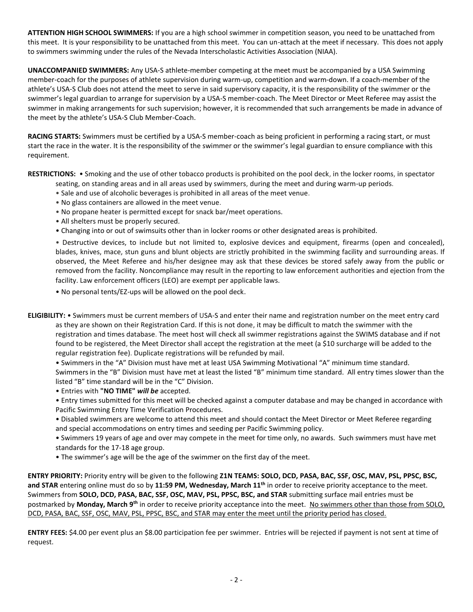**ATTENTION HIGH SCHOOL SWIMMERS:** If you are a high school swimmer in competition season, you need to be unattached from this meet. It is your responsibility to be unattached from this meet. You can un-attach at the meet if necessary. This does not apply to swimmers swimming under the rules of the Nevada Interscholastic Activities Association (NIAA).

**UNACCOMPANIED SWIMMERS:** Any USA-S athlete-member competing at the meet must be accompanied by a USA Swimming member-coach for the purposes of athlete supervision during warm-up, competition and warm-down. If a coach-member of the athlete's USA-S Club does not attend the meet to serve in said supervisory capacity, it is the responsibility of the swimmer or the swimmer's legal guardian to arrange for supervision by a USA-S member-coach. The Meet Director or Meet Referee may assist the swimmer in making arrangements for such supervision; however, it is recommended that such arrangements be made in advance of the meet by the athlete's USA-S Club Member-Coach.

**RACING STARTS:** Swimmers must be certified by a USA-S member-coach as being proficient in performing a racing start, or must start the race in the water. It is the responsibility of the swimmer or the swimmer's legal guardian to ensure compliance with this requirement.

**RESTRICTIONS:** • Smoking and the use of other tobacco products is prohibited on the pool deck, in the locker rooms, in spectator seating, on standing areas and in all areas used by swimmers, during the meet and during warm-up periods.

- Sale and use of alcoholic beverages is prohibited in all areas of the meet venue.
- No glass containers are allowed in the meet venue.
- No propane heater is permitted except for snack bar/meet operations.
- All shelters must be properly secured.
- Changing into or out of swimsuits other than in locker rooms or other designated areas is prohibited.

• Destructive devices, to include but not limited to, explosive devices and equipment, firearms (open and concealed), blades, knives, mace, stun guns and blunt objects are strictly prohibited in the swimming facility and surrounding areas. If observed, the Meet Referee and his/her designee may ask that these devices be stored safely away from the public or removed from the facility. Noncompliance may result in the reporting to law enforcement authorities and ejection from the facility. Law enforcement officers (LEO) are exempt per applicable laws.

• No personal tents/EZ-ups will be allowed on the pool deck.

**ELIGIBILITY:** • Swimmers must be current members of USA-S and enter their name and registration number on the meet entry card as they are shown on their Registration Card. If this is not done, it may be difficult to match the swimmer with the registration and times database. The meet host will check all swimmer registrations against the SWIMS database and if not found to be registered, the Meet Director shall accept the registration at the meet (a \$10 surcharge will be added to the regular registration fee). Duplicate registrations will be refunded by mail.

• Swimmers in the "A" Division must have met at least USA Swimming Motivational "A" minimum time standard. Swimmers in the "B" Division must have met at least the listed "B" minimum time standard. All entry times slower than the listed "B" time standard will be in the "C" Division.

- Entries with **"NO TIME"** *will be* accepted.
- Entry times submitted for this meet will be checked against a computer database and may be changed in accordance with Pacific Swimming Entry Time Verification Procedures.
- Disabled swimmers are welcome to attend this meet and should contact the Meet Director or Meet Referee regarding and special accommodations on entry times and seeding per Pacific Swimming policy.
- Swimmers 19 years of age and over may compete in the meet for time only, no awards. Such swimmers must have met standards for the 17-18 age group.
- The swimmer's age will be the age of the swimmer on the first day of the meet.

**ENTRY PRIORITY:** Priority entry will be given to the following **Z1N TEAMS: SOLO, DCD, PASA, BAC, SSF, OSC, MAV, PSL, PPSC, BSC, and STAR** entering online must do so by **11:59 PM, Wednesday, March 11th** in order to receive priority acceptance to the meet. Swimmers from **SOLO, DCD, PASA, BAC, SSF, OSC, MAV, PSL, PPSC, BSC, and STAR** submitting surface mail entries must be postmarked by **Monday, March 9th** in order to receive priority acceptance into the meet. No swimmers other than those from SOLO, DCD, PASA, BAC, SSF, OSC, MAV, PSL, PPSC, BSC, and STAR may enter the meet until the priority period has closed.

**ENTRY FEES:** \$4.00 per event plus an \$8.00 participation fee per swimmer. Entries will be rejected if payment is not sent at time of request.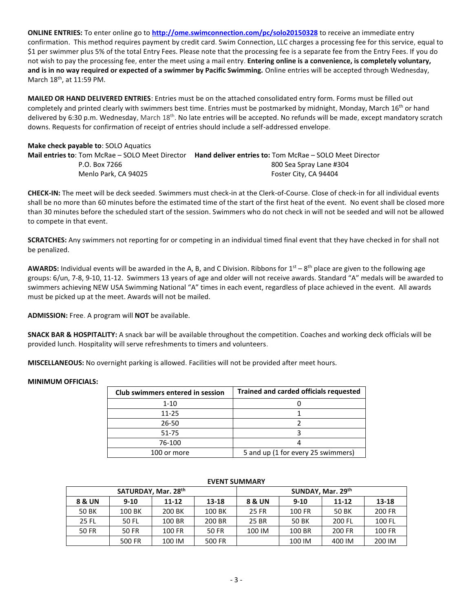**ONLINE ENTRIES:** To enter online go to **<http://ome.swimconnection.com/pc/solo20150328>** to receive an immediate entry confirmation. This method requires payment by credit card. Swim Connection, LLC charges a processing fee for this service, equal to \$1 per swimmer plus 5% of the total Entry Fees. Please note that the processing fee is a separate fee from the Entry Fees. If you do not wish to pay the processing fee, enter the meet using a mail entry. **Entering online is a convenience, is completely voluntary, and is in no way required or expected of a swimmer by Pacific Swimming.** Online entries will be accepted through Wednesday, March 18th, at 11:59 PM.

**MAILED OR HAND DELIVERED ENTRIES**: Entries must be on the attached consolidated entry form. Forms must be filled out completely and printed clearly with swimmers best time. Entries must be postmarked by midnight, Monday, March 16<sup>th</sup> or hand delivered by 6:30 p.m. Wednesday, March 18<sup>th</sup>. No late entries will be accepted. No refunds will be made, except mandatory scratch downs. Requests for confirmation of receipt of entries should include a self-addressed envelope.

# **Make check payable to**: SOLO Aquatics **Mail entries to**: Tom McRae – SOLO Meet Director **Hand deliver entries to:** Tom McRae – SOLO Meet Director P.O. Box 7266 800 Sea Spray Lane #304 Menlo Park, CA 94025 Foster City, CA 94404

**CHECK-IN:** The meet will be deck seeded. Swimmers must check-in at the Clerk-of-Course. Close of check-in for all individual events shall be no more than 60 minutes before the estimated time of the start of the first heat of the event. No event shall be closed more than 30 minutes before the scheduled start of the session. Swimmers who do not check in will not be seeded and will not be allowed to compete in that event.

**SCRATCHES:** Any swimmers not reporting for or competing in an individual timed final event that they have checked in for shall not be penalized.

AWARDS: Individual events will be awarded in the A, B, and C Division. Ribbons for 1<sup>st</sup> – 8<sup>th</sup> place are given to the following age groups: 6/un, 7-8, 9-10, 11-12. Swimmers 13 years of age and older will not receive awards. Standard "A" medals will be awarded to swimmers achieving NEW USA Swimming National "A" times in each event, regardless of place achieved in the event. All awards must be picked up at the meet. Awards will not be mailed.

**ADMISSION:** Free. A program will **NOT** be available.

**SNACK BAR & HOSPITALITY:** A snack bar will be available throughout the competition. Coaches and working deck officials will be provided lunch. Hospitality will serve refreshments to timers and volunteers.

**MISCELLANEOUS:** No overnight parking is allowed. Facilities will not be provided after meet hours.

#### **MINIMUM OFFICIALS:**

| Club swimmers entered in session | <b>Trained and carded officials requested</b> |  |  |  |  |  |  |
|----------------------------------|-----------------------------------------------|--|--|--|--|--|--|
| $1 - 10$                         |                                               |  |  |  |  |  |  |
| 11-25                            |                                               |  |  |  |  |  |  |
| 26-50                            |                                               |  |  |  |  |  |  |
| 51-75                            |                                               |  |  |  |  |  |  |
| 76-100                           |                                               |  |  |  |  |  |  |
| 100 or more                      | 5 and up (1 for every 25 swimmers)            |  |  |  |  |  |  |

| LVLIVI JUIVIIVIAIVI |                     |           |        |                   |          |           |               |  |  |  |
|---------------------|---------------------|-----------|--------|-------------------|----------|-----------|---------------|--|--|--|
|                     | SATURDAY, Mar. 28th |           |        | SUNDAY, Mar. 29th |          |           |               |  |  |  |
| <b>8 &amp; UN</b>   | $9 - 10$            | $11 - 12$ | 13-18  | 8 & UN            | $9 - 10$ | $11 - 12$ | 13-18         |  |  |  |
| 50 BK               | 100 BK              | 200 BK    | 100 BK | 25 FR             | 100 FR   | 50 BK     | 200 FR        |  |  |  |
| 25 FL               | 50 FL               | 100 BR    | 200 BR | 25 BR             | 50 BK    | 200 FL    | 100 FL        |  |  |  |
| 50 FR               | 50 FR               | 100 FR    | 50 FR  | 100 IM            | 100 BR   | 200 FR    | <b>100 FR</b> |  |  |  |
|                     | 500 FR              | 100 IM    | 500 FR |                   | 100 IM   | 400 IM    | 200 IM        |  |  |  |

### EVENT CURAMARY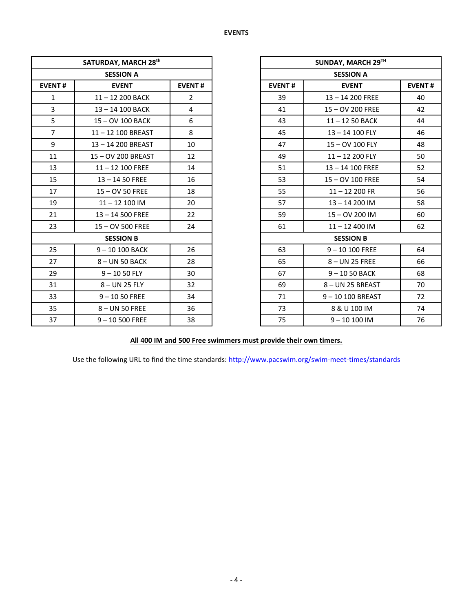|                | SATURDAY, MARCH 28th |                | <b>SUNDAY, MARCI</b> |                 |
|----------------|----------------------|----------------|----------------------|-----------------|
|                | <b>SESSION A</b>     |                | <b>SESSION A</b>     |                 |
| <b>EVENT#</b>  | <b>EVENT</b>         | <b>EVENT#</b>  | <b>EVENT#</b>        | <b>EVENT</b>    |
| $\mathbf{1}$   | 11-12 200 BACK       | $\overline{2}$ | 39                   | $13 - 14200$ F  |
| 3              | 13-14 100 BACK       | $\overline{4}$ | 41                   | 15-OV 200 F     |
| 5              | 15 - OV 100 BACK     | 6              | 43                   | $11 - 1250B$    |
| $\overline{7}$ | 11-12 100 BREAST     | 8              | 45                   | $13 - 14100$    |
| 9              | 13-14 200 BREAST     | 10             | 47                   | $15 - OV 100$   |
| 11             | 15-OV 200 BREAST     | 12             | 49                   | $11 - 12200$    |
| 13             | $11 - 12$ 100 FREE   | 14             | 51                   | $13 - 14$ 100 F |
| 15             | $13 - 1450$ FREE     | 16             | 53                   | 15-OV 100 F     |
| 17             | 15-OV 50 FREE        | 18             | 55                   | $11 - 12200$    |
| 19             | $11 - 12$ 100 IM     | 20             | 57                   | $13 - 14200$    |
| 21             | 13-14 500 FREE       | 22             | 59                   | $15 - OV$ 200   |
| 23             | 15 - OV 500 FREE     | 24             | 61                   | $11 - 12400$    |
|                | <b>SESSION B</b>     |                | <b>SESSION B</b>     |                 |
| 25             | 9-10 100 BACK        | 26             | 63                   | $9 - 10100$ FF  |
| 27             | 8-UN 50 BACK         | 28             | 65                   | 8-UN 25 FR      |
| 29             | $9 - 1050$ FLY       | 30             | 67                   | $9 - 1050BA$    |
| 31             | 8-UN 25 FLY          | 32             | 69                   | 8-UN 25 BRE     |
| 33             | $9 - 1050$ FREE      | 34             | 71                   | $9 - 10100$ BRI |
| 35             | 8-UN 50 FREE         | 36             | 73                   | 8 & U 100 II    |
| 37             | $9 - 10500$ FREE     | 38             | 75                   | $9 - 101001$    |

|                  | SATURDAY, MARCH 28th |                |                            | SUNDAY, MARCH 29TH |    |  |
|------------------|----------------------|----------------|----------------------------|--------------------|----|--|
|                  | <b>SESSION A</b>     |                |                            | <b>SESSION A</b>   |    |  |
| <b>EVENT#</b>    | <b>EVENT</b>         | <b>EVENT#</b>  | <b>EVENT#</b>              | <b>EVENT#</b>      |    |  |
| $\mathbf{1}$     | 11-12 200 BACK       | $\overline{2}$ | 39                         | $13 - 14200$ FREE  | 40 |  |
| $\overline{3}$   | 13-14 100 BACK       | 4              | 41                         | 15 - OV 200 FREE   | 42 |  |
| 5                | 15-OV 100 BACK       | 6              | 43                         | $11 - 1250$ BACK   | 44 |  |
| $\overline{7}$   | 11-12 100 BREAST     | 8              | 45                         | 13-14 100 FLY      | 46 |  |
| 9                | 13-14 200 BREAST     | 10             | 47                         | 15 - OV 100 FLY    | 48 |  |
| 11               | 15-OV 200 BREAST     | 12             | 49                         | $11 - 12200$ FLY   | 50 |  |
| 13               | $11 - 12$ 100 FREE   | 14             | 51                         | $13 - 14$ 100 FREE | 52 |  |
| 15               | $13 - 1450$ FREE     | 16             | 53                         | 15-OV 100 FREE     | 54 |  |
| 17               | 15 - OV 50 FREE      | 18             | 55                         | $11 - 12200$ FR    | 56 |  |
| 19               | $11 - 12100$ IM      | 20             | 57                         | $13 - 14200$ IM    | 58 |  |
| 21               | 13-14 500 FREE       | 22             | 59                         | 15-OV 200 IM       | 60 |  |
| 23               | 15 - OV 500 FREE     | 24             | 61                         | $11 - 12$ 400 IM   | 62 |  |
| <b>SESSION B</b> |                      |                |                            | <b>SESSION B</b>   |    |  |
| 25               | 9-10 100 BACK        | 26             | 63                         | $9 - 10100$ FREE   | 64 |  |
| 27               | 8-UN 50 BACK         | 28             | 65                         | 8-UN 25 FREE       | 66 |  |
| 29               | $9 - 1050$ FLY       | 30             | 67                         | 9-1050 BACK        | 68 |  |
| 31               | 8-UN 25 FLY          | 32             | 69                         | 8-UN 25 BREAST     | 70 |  |
| 33               | $9 - 1050$ FREE      | 34             | 71                         | 9-10 100 BREAST    | 72 |  |
| 35               | 8-UN 50 FREE         | 36             | 73                         | 8 & U 100 IM       | 74 |  |
| 37               | $9 - 10500$ FREE     | 38             | 75<br>$9 - 10100$ IM<br>76 |                    |    |  |

**All 400 IM and 500 Free swimmers must provide their own timers.**

Use the following URL to find the time standards: <http://www.pacswim.org/swim-meet-times/standards>